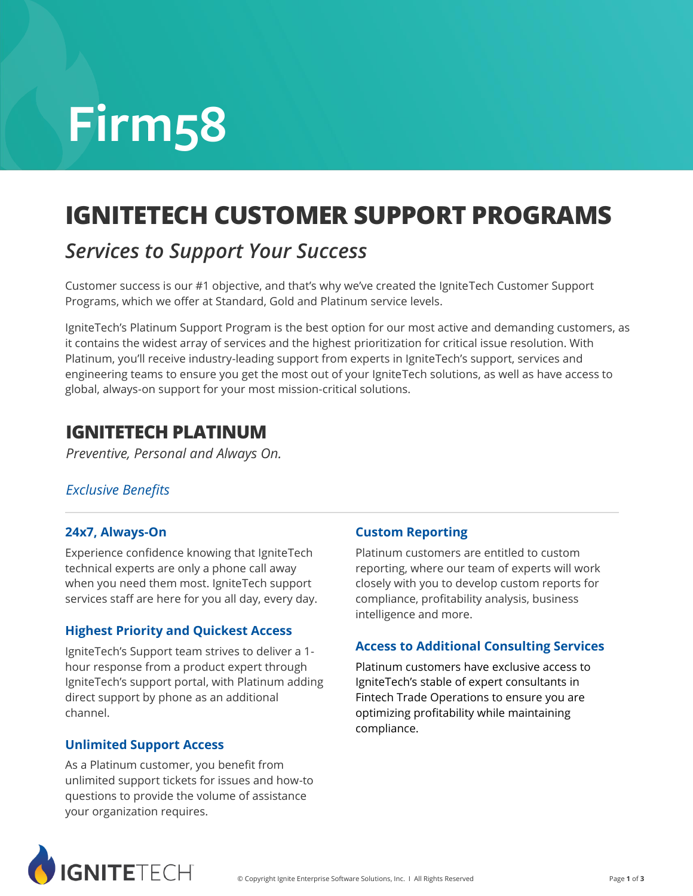# **Firm58**

# **IGNITETECH CUSTOMER SUPPORT PROGRAMS**

### *Services to Support Your Success*

Customer success is our #1 objective, and that's why we've created the IgniteTech Customer Support Programs, which we offer at Standard, Gold and Platinum service levels.

IgniteTech's Platinum Support Program is the best option for our most active and demanding customers, as it contains the widest array of services and the highest prioritization for critical issue resolution. With Platinum, you'll receive industry-leading support from experts in IgniteTech's support, services and engineering teams to ensure you get the most out of your IgniteTech solutions, as well as have access to global, always-on support for your most mission-critical solutions.

### **IGNITETECH PLATINUM**

*Preventive, Personal and Always On.*

#### *Exclusive Benefits*

#### **24x7, Always-On**

Experience confidence knowing that IgniteTech technical experts are only a phone call away when you need them most. IgniteTech support services staff are here for you all day, every day.

#### **Highest Priority and Quickest Access**

IgniteTech's Support team strives to deliver a 1 hour response from a product expert through IgniteTech's support portal, with Platinum adding direct support by phone as an additional channel.

#### **Unlimited Support Access**

As a Platinum customer, you benefit from unlimited support tickets for issues and how-to questions to provide the volume of assistance your organization requires.

#### **Custom Reporting**

Platinum customers are entitled to custom reporting, where our team of experts will work closely with you to develop custom reports for compliance, profitability analysis, business intelligence and more.

#### **Access to Additional Consulting Services**

Platinum customers have exclusive access to IgniteTech's stable of expert consultants in Fintech Trade Operations to ensure you are optimizing profitability while maintaining compliance.

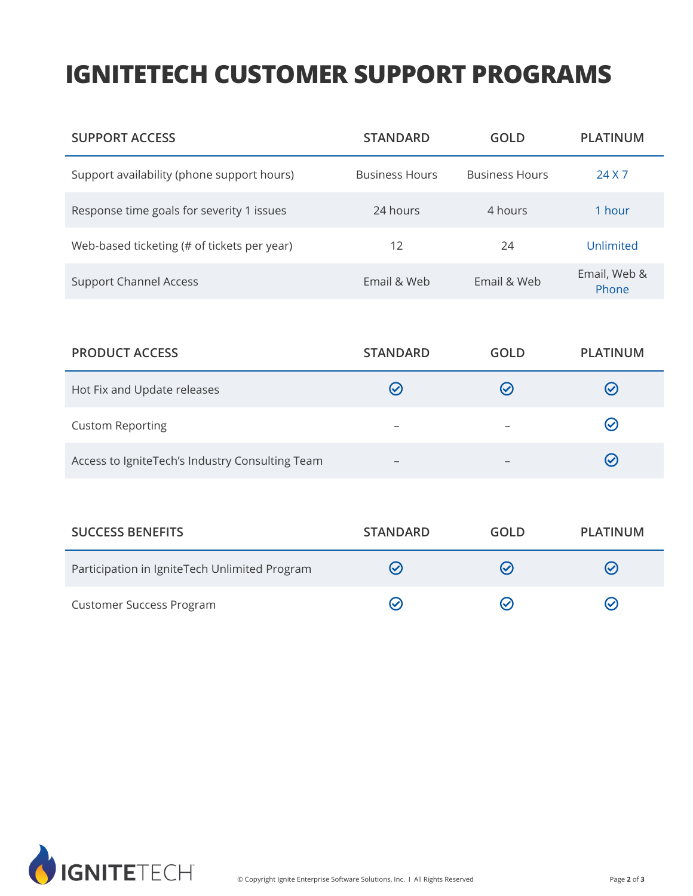## **IGNITETECH CUSTOMER SUPPORT PROGRAMS**

| <b>SUPPORT ACCESS</b>                       | <b>STANDARD</b>       | GOLD                  | <b>PLATINUM</b>       |
|---------------------------------------------|-----------------------|-----------------------|-----------------------|
| Support availability (phone support hours)  | <b>Business Hours</b> | <b>Business Hours</b> | 24 X 7                |
| Response time goals for severity 1 issues   | 24 hours              | 4 hours               | 1 hour                |
| Web-based ticketing (# of tickets per year) | 12                    | 24                    | Unlimited             |
| <b>Support Channel Access</b>               | Email & Web           | Email & Web           | Email, Web &<br>Phone |

| <b>PRODUCT ACCESS</b>                           | <b>STANDARD</b>          | <b>GOLD</b>  | PLATINUM       |
|-------------------------------------------------|--------------------------|--------------|----------------|
| Hot Fix and Update releases                     |                          | $\mathcal C$ | $(\checkmark)$ |
| <b>Custom Reporting</b>                         | $\overline{\phantom{0}}$ |              | $(\checkmark)$ |
| Access to IgniteTech's Industry Consulting Team | $\overline{\phantom{m}}$ |              | $(\checkmark)$ |

| <b>SUCCESS BENEFITS</b>                       | <b>STANDARD</b> | GOLD          | <b>PLATINUM</b> |
|-----------------------------------------------|-----------------|---------------|-----------------|
| Participation in IgniteTech Unlimited Program | $(\checkmark)$  | ৻৵            | $(\checkmark)$  |
| <b>Customer Success Program</b>               |                 | $\mathcal{S}$ | $(\checkmark)$  |